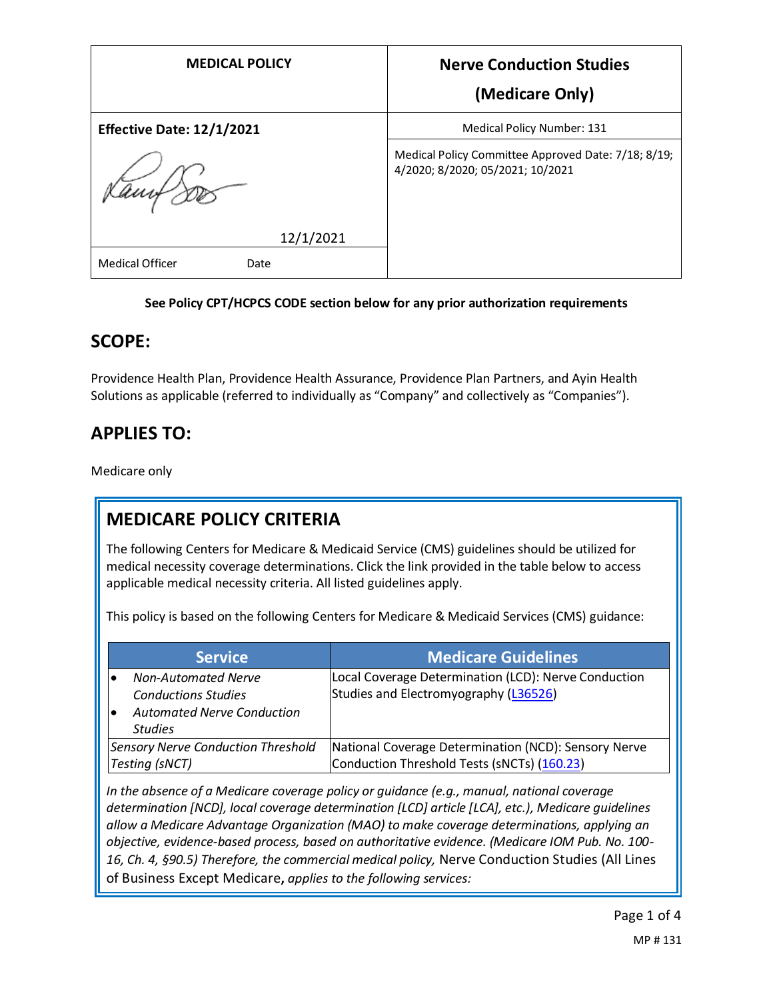| <b>MEDICAL POLICY</b>            | <b>Nerve Conduction Studies</b><br>(Medicare Only)                                      |
|----------------------------------|-----------------------------------------------------------------------------------------|
| <b>Effective Date: 12/1/2021</b> | Medical Policy Number: 131                                                              |
| amf                              | Medical Policy Committee Approved Date: 7/18; 8/19;<br>4/2020; 8/2020; 05/2021; 10/2021 |
| 12/1/2021                        |                                                                                         |
| <b>Medical Officer</b><br>Date   |                                                                                         |

#### **See Policy CPT/HCPCS CODE section below for any prior authorization requirements**

### **SCOPE:**

Providence Health Plan, Providence Health Assurance, Providence Plan Partners, and Ayin Health Solutions as applicable (referred to individually as "Company" and collectively as "Companies").

# **APPLIES TO:**

Medicare only

# **MEDICARE POLICY CRITERIA**

The following Centers for Medicare & Medicaid Service (CMS) guidelines should be utilized for medical necessity coverage determinations. Click the link provided in the table below to access applicable medical necessity criteria. All listed guidelines apply.

This policy is based on the following Centers for Medicare & Medicaid Services (CMS) guidance:

|                                                             | <b>Service</b>                                           | <b>Medicare Guidelines</b>                                                                          |
|-------------------------------------------------------------|----------------------------------------------------------|-----------------------------------------------------------------------------------------------------|
|                                                             | <b>Non-Automated Nerve</b><br><b>Conductions Studies</b> | Local Coverage Determination (LCD): Nerve Conduction<br>Studies and Electromyography (L36526)       |
|                                                             | <b>Automated Nerve Conduction</b><br><b>Studies</b>      |                                                                                                     |
| <b>Sensory Nerve Conduction Threshold</b><br>Testing (sNCT) |                                                          | National Coverage Determination (NCD): Sensory Nerve<br>Conduction Threshold Tests (SNCTs) (160.23) |

*In the absence of a Medicare coverage policy or guidance (e.g., manual, national coverage determination [NCD], local coverage determination [LCD] article [LCA], etc.), Medicare guidelines allow a Medicare Advantage Organization (MAO) to make coverage determinations, applying an objective, evidence-based process, based on authoritative evidence. (Medicare IOM Pub. No. 100- 16, Ch. 4, §90.5) Therefore, the commercial medical policy,* Nerve Conduction Studies (All Lines of Business Except Medicare**,** *applies to the following services:*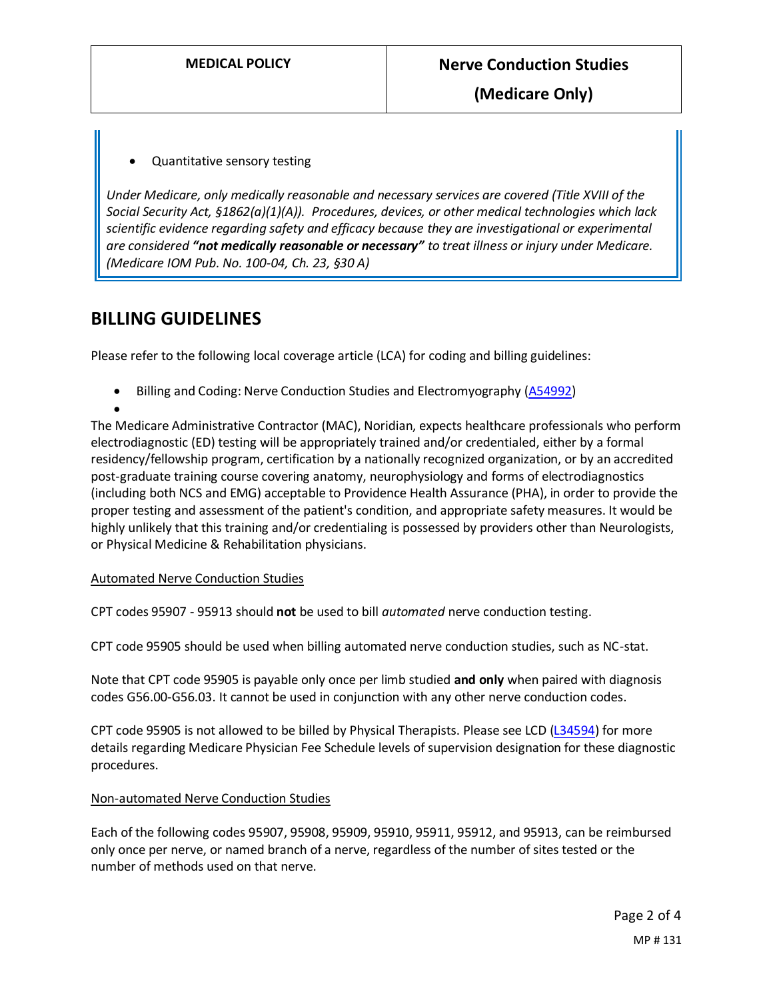**(Medicare Only)**

#### • Quantitative sensory testing

*Under Medicare, only medically reasonable and necessary services are covered (Title XVIII of the Social Security Act, §1862(a)(1)(A)). Procedures, devices, or other medical technologies which lack scientific evidence regarding safety and efficacy because they are investigational or experimental are considered "not medically reasonable or necessary" to treat illness or injury under Medicare. (Medicare IOM Pub. No. 100-04, Ch. 23, §30 A)*

### **BILLING GUIDELINES**

Please refer to the following local coverage article (LCA) for coding and billing guidelines:

Billing and Coding: Nerve Conduction Studies and Electromyography [\(A54992\)](https://www.cms.gov/medicare-coverage-database/details/article-details.aspx?articleId=54992&ver=8&LCDId=36526)

•

The Medicare Administrative Contractor (MAC), Noridian, expects healthcare professionals who perform electrodiagnostic (ED) testing will be appropriately trained and/or credentialed, either by a formal residency/fellowship program, certification by a nationally recognized organization, or by an accredited post-graduate training course covering anatomy, neurophysiology and forms of electrodiagnostics (including both NCS and EMG) acceptable to Providence Health Assurance (PHA), in order to provide the proper testing and assessment of the patient's condition, and appropriate safety measures. It would be highly unlikely that this training and/or credentialing is possessed by providers other than Neurologists, or Physical Medicine & Rehabilitation physicians.

#### Automated Nerve Conduction Studies

CPT codes 95907 - 95913 should **not** be used to bill *automated* nerve conduction testing.

CPT code 95905 should be used when billing automated nerve conduction studies, such as NC-stat.

Note that CPT code 95905 is payable only once per limb studied **and only** when paired with diagnosis codes G56.00-G56.03. It cannot be used in conjunction with any other nerve conduction codes.

CPT code 95905 is not allowed to be billed by Physical Therapists. Please see LCD [\(L34594\)](https://www.cms.gov/medicare-coverage-database/details/lcd-details.aspx?LCDId=34594) for more details regarding Medicare Physician Fee Schedule levels of supervision designation for these diagnostic procedures.

#### Non-automated Nerve Conduction Studies

Each of the following codes 95907, 95908, 95909, 95910, 95911, 95912, and 95913, can be reimbursed only once per nerve, or named branch of a nerve, regardless of the number of sites tested or the number of methods used on that nerve.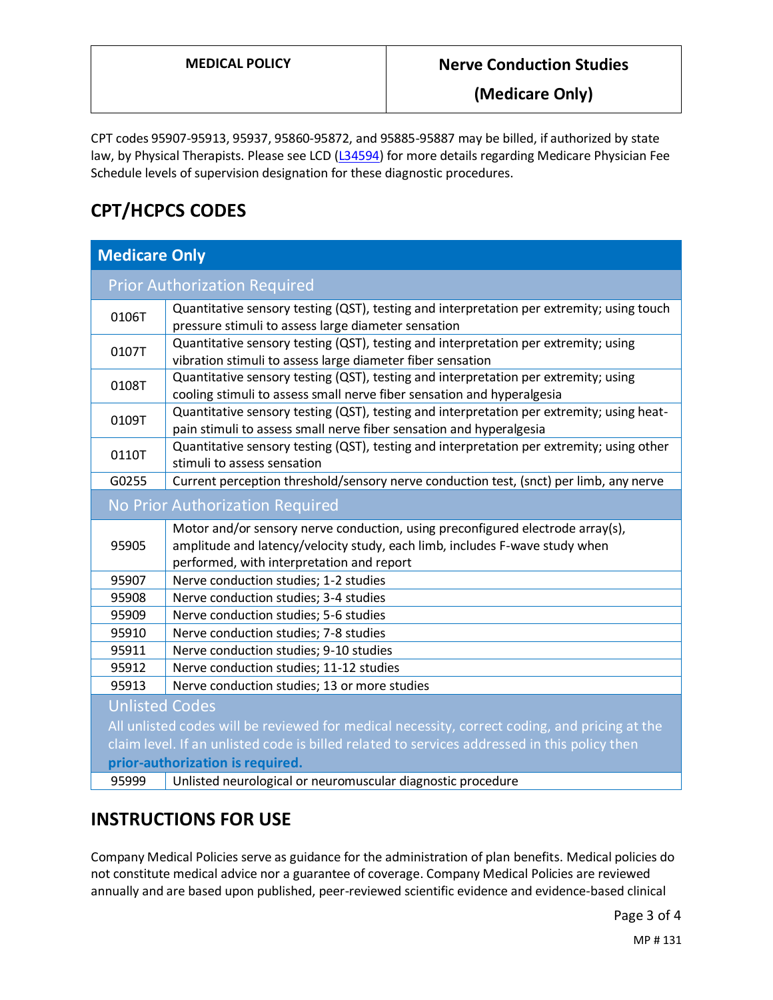**(Medicare Only)**

CPT codes 95907-95913, 95937, 95860-95872, and 95885-95887 may be billed, if authorized by state law, by Physical Therapists. Please see LCD [\(L34594\)](https://www.cms.gov/medicare-coverage-database/details/lcd-details.aspx?LCDId=34594) for more details regarding Medicare Physician Fee Schedule levels of supervision designation for these diagnostic procedures.

# **CPT/HCPCS CODES**

| <b>Medicare Only</b>                                                                          |                                                                                                                                                                                                            |  |  |
|-----------------------------------------------------------------------------------------------|------------------------------------------------------------------------------------------------------------------------------------------------------------------------------------------------------------|--|--|
| <b>Prior Authorization Required</b>                                                           |                                                                                                                                                                                                            |  |  |
| 0106T                                                                                         | Quantitative sensory testing (QST), testing and interpretation per extremity; using touch<br>pressure stimuli to assess large diameter sensation                                                           |  |  |
| 0107T                                                                                         | Quantitative sensory testing (QST), testing and interpretation per extremity; using<br>vibration stimuli to assess large diameter fiber sensation                                                          |  |  |
| 0108T                                                                                         | Quantitative sensory testing (QST), testing and interpretation per extremity; using<br>cooling stimuli to assess small nerve fiber sensation and hyperalgesia                                              |  |  |
| 0109T                                                                                         | Quantitative sensory testing (QST), testing and interpretation per extremity; using heat-<br>pain stimuli to assess small nerve fiber sensation and hyperalgesia                                           |  |  |
| 0110T                                                                                         | Quantitative sensory testing (QST), testing and interpretation per extremity; using other<br>stimuli to assess sensation                                                                                   |  |  |
| G0255                                                                                         | Current perception threshold/sensory nerve conduction test, (snct) per limb, any nerve                                                                                                                     |  |  |
| No Prior Authorization Required                                                               |                                                                                                                                                                                                            |  |  |
| 95905                                                                                         | Motor and/or sensory nerve conduction, using preconfigured electrode array(s),<br>amplitude and latency/velocity study, each limb, includes F-wave study when<br>performed, with interpretation and report |  |  |
| 95907                                                                                         | Nerve conduction studies; 1-2 studies                                                                                                                                                                      |  |  |
| 95908                                                                                         | Nerve conduction studies; 3-4 studies                                                                                                                                                                      |  |  |
| 95909                                                                                         | Nerve conduction studies; 5-6 studies                                                                                                                                                                      |  |  |
| 95910                                                                                         | Nerve conduction studies; 7-8 studies                                                                                                                                                                      |  |  |
| 95911                                                                                         | Nerve conduction studies; 9-10 studies                                                                                                                                                                     |  |  |
| 95912                                                                                         | Nerve conduction studies; 11-12 studies                                                                                                                                                                    |  |  |
| 95913                                                                                         | Nerve conduction studies; 13 or more studies                                                                                                                                                               |  |  |
| <b>Unlisted Codes</b>                                                                         |                                                                                                                                                                                                            |  |  |
| All unlisted codes will be reviewed for medical necessity, correct coding, and pricing at the |                                                                                                                                                                                                            |  |  |
| claim level. If an unlisted code is billed related to services addressed in this policy then  |                                                                                                                                                                                                            |  |  |
| prior-authorization is required.                                                              |                                                                                                                                                                                                            |  |  |
| 95999                                                                                         | Unlisted neurological or neuromuscular diagnostic procedure                                                                                                                                                |  |  |

### **INSTRUCTIONS FOR USE**

Company Medical Policies serve as guidance for the administration of plan benefits. Medical policies do not constitute medical advice nor a guarantee of coverage. Company Medical Policies are reviewed annually and are based upon published, peer-reviewed scientific evidence and evidence-based clinical